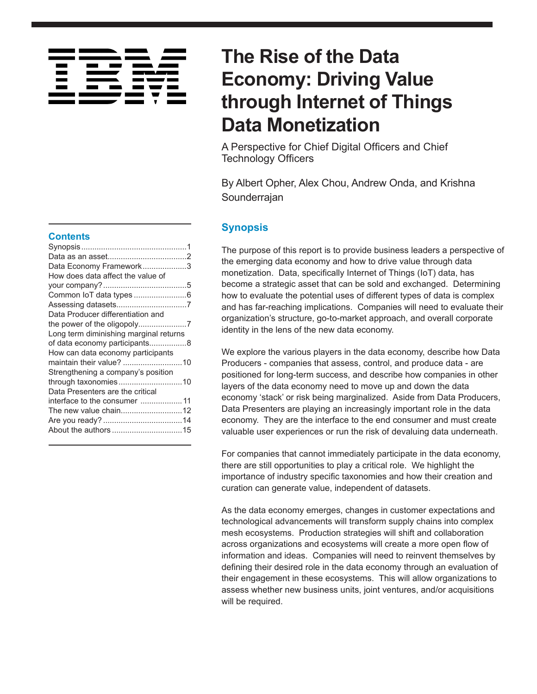# **Contents**

| Data Economy Framework3                |  |
|----------------------------------------|--|
| How does data affect the value of      |  |
|                                        |  |
|                                        |  |
|                                        |  |
| Data Producer differentiation and      |  |
|                                        |  |
| Long term diminishing marginal returns |  |
| of data economy participants8          |  |
| How can data economy participants      |  |
| maintain their value? 10               |  |
| Strengthening a company's position     |  |
|                                        |  |
| Data Presenters are the critical       |  |
| interface to the consumer 11           |  |
| The new value chain12                  |  |
|                                        |  |
|                                        |  |
|                                        |  |

# **The Rise of the Data Economy: Driving Value through Internet of Things Data Monetization**

A Perspective for Chief Digital Officers and Chief Technology Officers

By Albert Opher, Alex Chou, Andrew Onda, and Krishna Sounderrajan

# **Synopsis**

The purpose of this report is to provide business leaders a perspective of the emerging data economy and how to drive value through data monetization. Data, specifically Internet of Things (IoT) data, has become a strategic asset that can be sold and exchanged. Determining how to evaluate the potential uses of different types of data is complex and has far-reaching implications. Companies will need to evaluate their organization's structure, go-to-market approach, and overall corporate identity in the lens of the new data economy.

We explore the various players in the data economy, describe how Data Producers - companies that assess, control, and produce data - are positioned for long-term success, and describe how companies in other layers of the data economy need to move up and down the data economy 'stack' or risk being marginalized. Aside from Data Producers, Data Presenters are playing an increasingly important role in the data economy. They are the interface to the end consumer and must create valuable user experiences or run the risk of devaluing data underneath.

For companies that cannot immediately participate in the data economy, there are still opportunities to play a critical role. We highlight the importance of industry specific taxonomies and how their creation and curation can generate value, independent of datasets.

As the data economy emerges, changes in customer expectations and technological advancements will transform supply chains into complex mesh ecosystems. Production strategies will shift and collaboration across organizations and ecosystems will create a more open flow of information and ideas. Companies will need to reinvent themselves by defining their desired role in the data economy through an evaluation of their engagement in these ecosystems. This will allow organizations to assess whether new business units, joint ventures, and/or acquisitions will be required.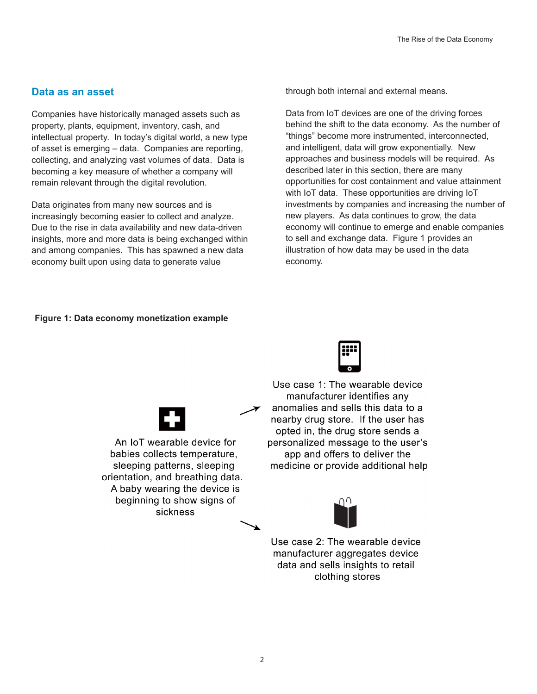#### <span id="page-1-0"></span>**Data as an asset**

Companies have historically managed assets such as property, plants, equipment, inventory, cash, and intellectual property. In today's digital world, a new type of asset is emerging – data. Companies are reporting, collecting, and analyzing vast volumes of data. Data is becoming a key measure of whether a company will remain relevant through the digital revolution.

Data originates from many new sources and is increasingly becoming easier to collect and analyze. Due to the rise in data availability and new data-driven insights, more and more data is being exchanged within and among companies. This has spawned a new data economy built upon using data to generate value

through both internal and external means.

Data from IoT devices are one of the driving forces behind the shift to the data economy. As the number of "things" become more instrumented, interconnected, and intelligent, data will grow exponentially. New approaches and business models will be required. As described later in this section, there are many opportunities for cost containment and value attainment with IoT data. These opportunities are driving IoT investments by companies and increasing the number of new players. As data continues to grow, the data economy will continue to emerge and enable companies to sell and exchange data. Figure 1 provides an illustration of how data may be used in the data economy.

#### **Figure 1: Data economy monetization example**



Use case 1: The wearable device manufacturer identifies any anomalies and sells this data to a nearby drug store. If the user has opted in, the drug store sends a personalized message to the user's app and offers to deliver the medicine or provide additional help



An IoT wearable device for babies collects temperature, sleeping patterns, sleeping orientation, and breathing data. A baby wearing the device is beginning to show signs of sickness



Use case 2: The wearable device manufacturer aggregates device data and sells insights to retail clothing stores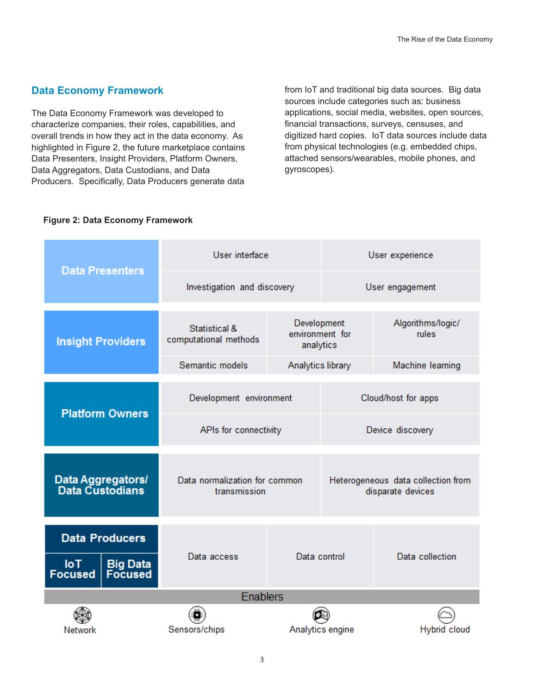# <span id="page-2-0"></span>**Data Economy Framework**

The Data Economy Framework was developed to characterize companies, their roles, capabilities, and overall trends in how they act in the data economy. As highlighted in Figure 2, the future marketplace contains Data Presenters, Insight Providers, Platform Owners, Data Aggregators, Data Custodians, and Data Producers. Specifically, Data Producers generate data

from IoT and traditional big data sources. Big data sources include categories such as: business applications, social media, websites, open sources, financial transactions, surveys, censuses, and digitized hard copies. IoT data sources include data from physical technologies (e.g. embedded chips, attached sensors/wearables, mobile phones, and gyroscopes).

| <b>Data Presenters</b>                                                          | User interface                                |                                             | User experience     |                                                         |  |
|---------------------------------------------------------------------------------|-----------------------------------------------|---------------------------------------------|---------------------|---------------------------------------------------------|--|
|                                                                                 | Investigation and discovery                   |                                             | User engagement     |                                                         |  |
| <b>Insight Providers</b>                                                        | Statistical &<br>computational methods        | Development<br>environment for<br>analytics |                     | Algorithms/logic/<br>rules                              |  |
|                                                                                 | Semantic models                               | Analytics library                           |                     | Machine learning                                        |  |
| <b>Platform Owners</b>                                                          | Development environment                       |                                             | Cloud/host for apps |                                                         |  |
|                                                                                 | APIs for connectivity                         |                                             | Device discovery    |                                                         |  |
| Data Aggregators/<br>Data Custodians                                            | Data normalization for common<br>transmission |                                             |                     | Heterogeneous data collection from<br>disparate devices |  |
| <b>Data Producers</b><br>$I$ ol<br><b>Big Data</b><br>Focused<br><b>Focused</b> | Data access                                   |                                             | Data control        | Data collection                                         |  |
| <b>Enablers</b>                                                                 |                                               |                                             |                     |                                                         |  |
|                                                                                 |                                               |                                             |                     |                                                         |  |
| Network                                                                         | Sensors/chips                                 |                                             | Analytics engine    | Hybrid cloud                                            |  |

#### **Figure 2: Data Economy Framework**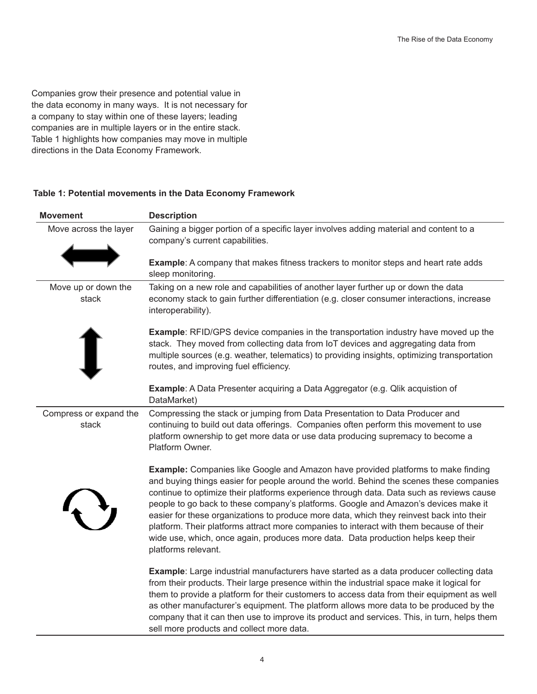Companies grow their presence and potential value in the data economy in many ways. It is not necessary for a company to stay within one of these layers; leading companies are in multiple layers or in the entire stack. Table 1 highlights how companies may move in multiple directions in the Data Economy Framework.

#### **Table 1: Potential movements in the Data Economy Framework**

| <b>Movement</b>                 | <b>Description</b>                                                                                                                                                                                                                                                                                                                                                                                                                                                                                                                                                                                                                                                        |
|---------------------------------|---------------------------------------------------------------------------------------------------------------------------------------------------------------------------------------------------------------------------------------------------------------------------------------------------------------------------------------------------------------------------------------------------------------------------------------------------------------------------------------------------------------------------------------------------------------------------------------------------------------------------------------------------------------------------|
| Move across the layer           | Gaining a bigger portion of a specific layer involves adding material and content to a<br>company's current capabilities.                                                                                                                                                                                                                                                                                                                                                                                                                                                                                                                                                 |
|                                 | Example: A company that makes fitness trackers to monitor steps and heart rate adds<br>sleep monitoring.                                                                                                                                                                                                                                                                                                                                                                                                                                                                                                                                                                  |
| Move up or down the<br>stack    | Taking on a new role and capabilities of another layer further up or down the data<br>economy stack to gain further differentiation (e.g. closer consumer interactions, increase<br>interoperability).                                                                                                                                                                                                                                                                                                                                                                                                                                                                    |
|                                 | <b>Example:</b> RFID/GPS device companies in the transportation industry have moved up the<br>stack. They moved from collecting data from IoT devices and aggregating data from<br>multiple sources (e.g. weather, telematics) to providing insights, optimizing transportation<br>routes, and improving fuel efficiency.                                                                                                                                                                                                                                                                                                                                                 |
|                                 | <b>Example:</b> A Data Presenter acquiring a Data Aggregator (e.g. Qlik acquistion of<br>DataMarket)                                                                                                                                                                                                                                                                                                                                                                                                                                                                                                                                                                      |
| Compress or expand the<br>stack | Compressing the stack or jumping from Data Presentation to Data Producer and<br>continuing to build out data offerings. Companies often perform this movement to use<br>platform ownership to get more data or use data producing supremacy to become a<br>Platform Owner.                                                                                                                                                                                                                                                                                                                                                                                                |
|                                 | <b>Example:</b> Companies like Google and Amazon have provided platforms to make finding<br>and buying things easier for people around the world. Behind the scenes these companies<br>continue to optimize their platforms experience through data. Data such as reviews cause<br>people to go back to these company's platforms. Google and Amazon's devices make it<br>easier for these organizations to produce more data, which they reinvest back into their<br>platform. Their platforms attract more companies to interact with them because of their<br>wide use, which, once again, produces more data. Data production helps keep their<br>platforms relevant. |
|                                 | Example: Large industrial manufacturers have started as a data producer collecting data<br>from their products. Their large presence within the industrial space make it logical for<br>them to provide a platform for their customers to access data from their equipment as well<br>as other manufacturer's equipment. The platform allows more data to be produced by the                                                                                                                                                                                                                                                                                              |

sell more products and collect more data.

company that it can then use to improve its product and services. This, in turn, helps them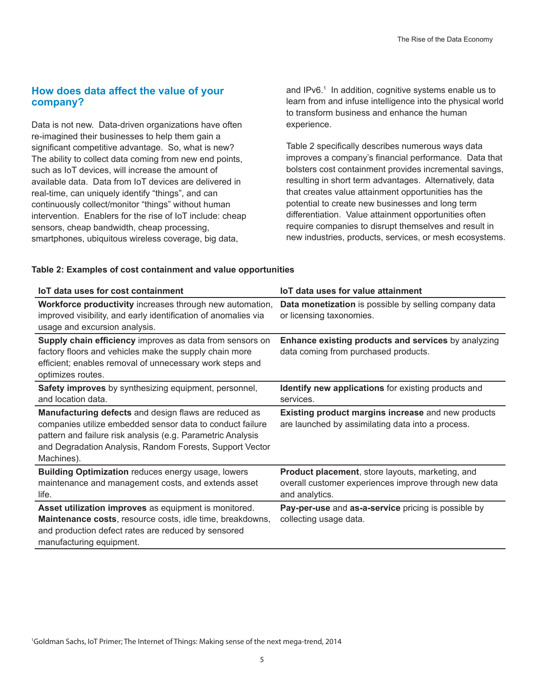# <span id="page-4-0"></span>**How does data affect the value of your company?**

Data is not new. Data-driven organizations have often re-imagined their businesses to help them gain a significant competitive advantage. So, what is new? The ability to collect data coming from new end points, such as IoT devices, will increase the amount of available data. Data from IoT devices are delivered in real-time, can uniquely identify "things", and can continuously collect/monitor "things" without human intervention. Enablers for the rise of IoT include: cheap sensors, cheap bandwidth, cheap processing, smartphones, ubiquitous wireless coverage, big data,

and IPv6.<sup>1</sup> In addition, cognitive systems enable us to learn from and infuse intelligence into the physical world to transform business and enhance the human experience.

Table 2 specifically describes numerous ways data improves a company's financial performance. Data that bolsters cost containment provides incremental savings, resulting in short term advantages. Alternatively, data that creates value attainment opportunities has the potential to create new businesses and long term differentiation. Value attainment opportunities often require companies to disrupt themselves and result in new industries, products, services, or mesh ecosystems.

| <b>IoT data uses for cost containment</b>                                                                                                                                                                                                                   | loT data uses for value attainment                                                                                          |
|-------------------------------------------------------------------------------------------------------------------------------------------------------------------------------------------------------------------------------------------------------------|-----------------------------------------------------------------------------------------------------------------------------|
| Workforce productivity increases through new automation,<br>improved visibility, and early identification of anomalies via<br>usage and excursion analysis.                                                                                                 | Data monetization is possible by selling company data<br>or licensing taxonomies.                                           |
| Supply chain efficiency improves as data from sensors on<br>factory floors and vehicles make the supply chain more<br>efficient; enables removal of unnecessary work steps and<br>optimizes routes.                                                         | Enhance existing products and services by analyzing<br>data coming from purchased products.                                 |
| <b>Safety improves</b> by synthesizing equipment, personnel,<br>and location data.                                                                                                                                                                          | <b>Identify new applications</b> for existing products and<br>services.                                                     |
| Manufacturing defects and design flaws are reduced as<br>companies utilize embedded sensor data to conduct failure<br>pattern and failure risk analysis (e.g. Parametric Analysis<br>and Degradation Analysis, Random Forests, Support Vector<br>Machines). | Existing product margins increase and new products<br>are launched by assimilating data into a process.                     |
| <b>Building Optimization reduces energy usage, lowers</b><br>maintenance and management costs, and extends asset<br>life.                                                                                                                                   | Product placement, store layouts, marketing, and<br>overall customer experiences improve through new data<br>and analytics. |
| Asset utilization improves as equipment is monitored.<br>Maintenance costs, resource costs, idle time, breakdowns,<br>and production defect rates are reduced by sensored<br>manufacturing equipment.                                                       | Pay-per-use and as-a-service pricing is possible by<br>collecting usage data.                                               |

#### **Table 2: Examples of cost containment and value opportunities**

1 Goldman Sachs, IoT Primer; The Internet of Things: Making sense of the next mega-trend, 2014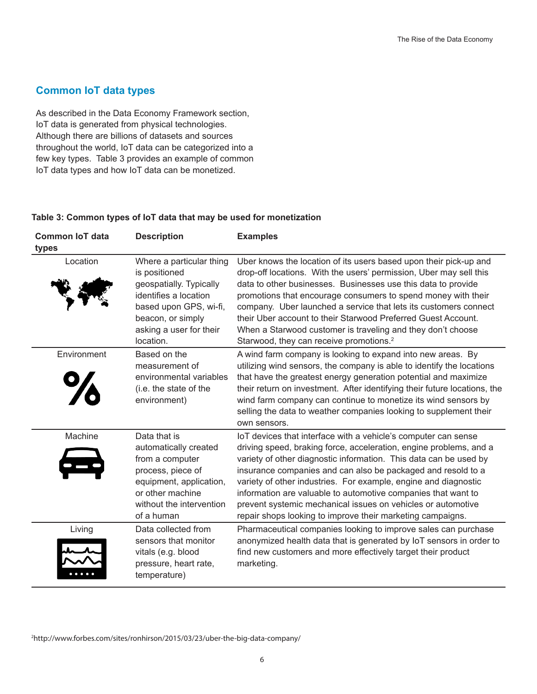# <span id="page-5-0"></span>**Common IoT data types**

As described in the Data Economy Framework section, IoT data is generated from physical technologies. Although there are billions of datasets and sources throughout the world, IoT data can be categorized into a few key types. Table 3 provides an example of common IoT data types and how IoT data can be monetized.

#### **Table 3: Common types of IoT data that may be used for monetization**

| <b>Common IoT data</b> | <b>Description</b>                                                                                                                                                                   | <b>Examples</b>                                                                                                                                                                                                                                                                                                                                                                                                                                                                                                                             |
|------------------------|--------------------------------------------------------------------------------------------------------------------------------------------------------------------------------------|---------------------------------------------------------------------------------------------------------------------------------------------------------------------------------------------------------------------------------------------------------------------------------------------------------------------------------------------------------------------------------------------------------------------------------------------------------------------------------------------------------------------------------------------|
| types                  |                                                                                                                                                                                      |                                                                                                                                                                                                                                                                                                                                                                                                                                                                                                                                             |
| Location               | Where a particular thing<br>is positioned<br>geospatially. Typically<br>identifies a location<br>based upon GPS, wi-fi,<br>beacon, or simply<br>asking a user for their<br>location. | Uber knows the location of its users based upon their pick-up and<br>drop-off locations. With the users' permission, Uber may sell this<br>data to other businesses. Businesses use this data to provide<br>promotions that encourage consumers to spend money with their<br>company. Uber launched a service that lets its customers connect<br>their Uber account to their Starwood Preferred Guest Account.<br>When a Starwood customer is traveling and they don't choose<br>Starwood, they can receive promotions. <sup>2</sup>        |
| Environment            | Based on the<br>measurement of<br>environmental variables<br>(i.e. the state of the<br>environment)                                                                                  | A wind farm company is looking to expand into new areas. By<br>utilizing wind sensors, the company is able to identify the locations<br>that have the greatest energy generation potential and maximize<br>their return on investment. After identifying their future locations, the<br>wind farm company can continue to monetize its wind sensors by<br>selling the data to weather companies looking to supplement their<br>own sensors.                                                                                                 |
| Machine                | Data that is<br>automatically created<br>from a computer<br>process, piece of<br>equipment, application,<br>or other machine<br>without the intervention<br>of a human               | IoT devices that interface with a vehicle's computer can sense<br>driving speed, braking force, acceleration, engine problems, and a<br>variety of other diagnostic information. This data can be used by<br>insurance companies and can also be packaged and resold to a<br>variety of other industries. For example, engine and diagnostic<br>information are valuable to automotive companies that want to<br>prevent systemic mechanical issues on vehicles or automotive<br>repair shops looking to improve their marketing campaigns. |
| Living                 | Data collected from<br>sensors that monitor<br>vitals (e.g. blood<br>pressure, heart rate,<br>temperature)                                                                           | Pharmaceutical companies looking to improve sales can purchase<br>anonymized health data that is generated by IoT sensors in order to<br>find new customers and more effectively target their product<br>marketing.                                                                                                                                                                                                                                                                                                                         |

2 http://www.forbes.com/sites/ronhirson/2015/03/23/uber-the-big-data-company/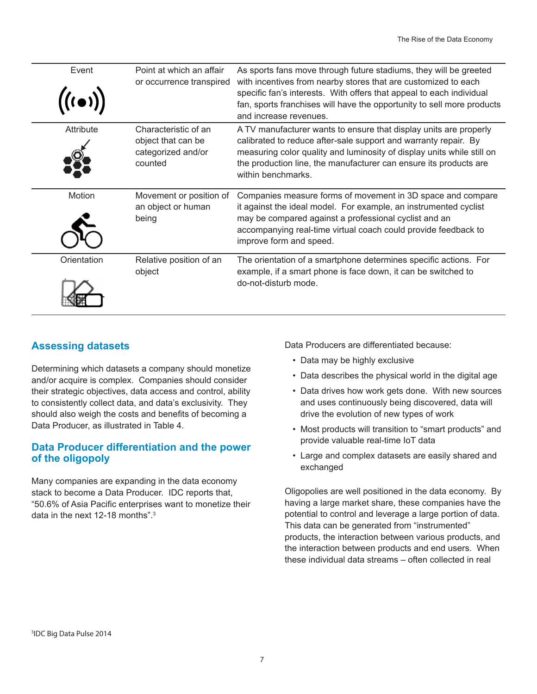<span id="page-6-0"></span>

| Event<br>$((\bullet))$ | Point at which an affair<br>or occurrence transpired                        | As sports fans move through future stadiums, they will be greeted<br>with incentives from nearby stores that are customized to each<br>specific fan's interests. With offers that appeal to each individual<br>fan, sports franchises will have the opportunity to sell more products<br>and increase revenues. |
|------------------------|-----------------------------------------------------------------------------|-----------------------------------------------------------------------------------------------------------------------------------------------------------------------------------------------------------------------------------------------------------------------------------------------------------------|
| Attribute              | Characteristic of an<br>object that can be<br>categorized and/or<br>counted | A TV manufacturer wants to ensure that display units are properly<br>calibrated to reduce after-sale support and warranty repair. By<br>measuring color quality and luminosity of display units while still on<br>the production line, the manufacturer can ensure its products are<br>within benchmarks.       |
| Motion                 | Movement or position of<br>an object or human<br>being                      | Companies measure forms of movement in 3D space and compare<br>it against the ideal model. For example, an instrumented cyclist<br>may be compared against a professional cyclist and an<br>accompanying real-time virtual coach could provide feedback to<br>improve form and speed.                           |
| Orientation            | Relative position of an<br>object                                           | The orientation of a smartphone determines specific actions. For<br>example, if a smart phone is face down, it can be switched to<br>do-not-disturb mode.                                                                                                                                                       |

# **Assessing datasets**

Determining which datasets a company should monetize and/or acquire is complex. Companies should consider their strategic objectives, data access and control, ability to consistently collect data, and data's exclusivity. They should also weigh the costs and benefits of becoming a Data Producer, as illustrated in Table 4.

# **Data Producer differentiation and the power of the oligopoly**

Many companies are expanding in the data economy stack to become a Data Producer. IDC reports that, "50.6% of Asia Pacific enterprises want to monetize their data in the next 12-18 months".<sup>3</sup>

Data Producers are differentiated because:

- Data may be highly exclusive
- Data describes the physical world in the digital age
- Data drives how work gets done. With new sources and uses continuously being discovered, data will drive the evolution of new types of work
- Most products will transition to "smart products" and provide valuable real-time IoT data
- Large and complex datasets are easily shared and exchanged

Oligopolies are well positioned in the data economy. By having a large market share, these companies have the potential to control and leverage a large portion of data. This data can be generated from "instrumented" products, the interaction between various products, and the interaction between products and end users. When these individual data streams – often collected in real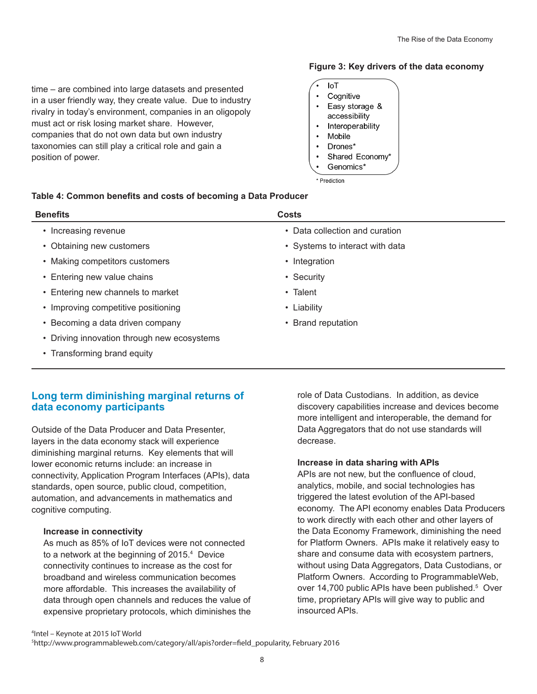<span id="page-7-0"></span>time – are combined into large datasets and presented in a user friendly way, they create value. Due to industry rivalry in today's environment, companies in an oligopoly

must act or risk losing market share. However, companies that do not own data but own industry taxonomies can still play a critical role and gain a position of power.

#### **Figure 3: Key drivers of the data economy**



\* Prediction

# **Table 4: Common benefits and costs of becoming a Data Producer**

| <b>Benefits</b>                             | <b>Costs</b>                    |
|---------------------------------------------|---------------------------------|
| • Increasing revenue                        | • Data collection and curation  |
| • Obtaining new customers                   | • Systems to interact with data |
| • Making competitors customers              | • Integration                   |
| • Entering new value chains                 | • Security                      |
| • Entering new channels to market           | • Talent                        |
| • Improving competitive positioning         | • Liability                     |
| • Becoming a data driven company            | • Brand reputation              |
| • Driving innovation through new ecosystems |                                 |
| • Transforming brand equity                 |                                 |
|                                             |                                 |

# **Long term diminishing marginal returns of data economy participants**

Outside of the Data Producer and Data Presenter, layers in the data economy stack will experience diminishing marginal returns. Key elements that will lower economic returns include: an increase in connectivity, Application Program Interfaces (APIs), data standards, open source, public cloud, competition, automation, and advancements in mathematics and cognitive computing.

#### **Increase in connectivity**

As much as 85% of IoT devices were not connected to a network at the beginning of 2015.<sup>4</sup> Device connectivity continues to increase as the cost for broadband and wireless communication becomes more affordable. This increases the availability of data through open channels and reduces the value of expensive proprietary protocols, which diminishes the role of Data Custodians. In addition, as device discovery capabilities increase and devices become more intelligent and interoperable, the demand for Data Aggregators that do not use standards will decrease.

#### **Increase in data sharing with APIs**

APIs are not new, but the confluence of cloud, analytics, mobile, and social technologies has triggered the latest evolution of the API-based economy. The API economy enables Data Producers to work directly with each other and other layers of the Data Economy Framework, diminishing the need for Platform Owners. APIs make it relatively easy to share and consume data with ecosystem partners, without using Data Aggregators, Data Custodians, or Platform Owners. According to ProgrammableWeb, over 14,700 public APIs have been published.<sup>5</sup> Over time, proprietary APIs will give way to public and insourced APIs.

4 Intel – Keynote at 2015 IoT World

5 http://www.programmableweb.com/category/all/apis?order=field\_popularity, February 2016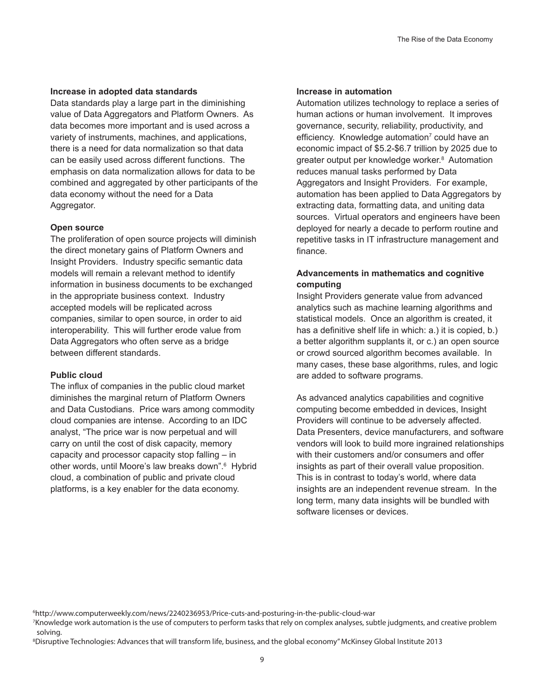#### **Increase in adopted data standards**

Data standards play a large part in the diminishing value of Data Aggregators and Platform Owners. As data becomes more important and is used across a variety of instruments, machines, and applications, there is a need for data normalization so that data can be easily used across different functions. The emphasis on data normalization allows for data to be combined and aggregated by other participants of the data economy without the need for a Data Aggregator.

#### **Open source**

The proliferation of open source projects will diminish the direct monetary gains of Platform Owners and Insight Providers. Industry specific semantic data models will remain a relevant method to identify information in business documents to be exchanged in the appropriate business context. Industry accepted models will be replicated across companies, similar to open source, in order to aid interoperability. This will further erode value from Data Aggregators who often serve as a bridge between different standards.

#### **Public cloud**

The influx of companies in the public cloud market diminishes the marginal return of Platform Owners and Data Custodians. Price wars among commodity cloud companies are intense. According to an IDC analyst, "The price war is now perpetual and will carry on until the cost of disk capacity, memory capacity and processor capacity stop falling – in other words, until Moore's law breaks down".<sup>6</sup> Hybrid cloud, a combination of public and private cloud platforms, is a key enabler for the data economy.

#### **Increase in automation**

Automation utilizes technology to replace a series of human actions or human involvement. It improves governance, security, reliability, productivity, and efficiency. Knowledge automation<sup>7</sup> could have an economic impact of \$5.2-\$6.7 trillion by 2025 due to greater output per knowledge worker.<sup>8</sup> Automation reduces manual tasks performed by Data Aggregators and Insight Providers. For example, automation has been applied to Data Aggregators by extracting data, formatting data, and uniting data sources. Virtual operators and engineers have been deployed for nearly a decade to perform routine and repetitive tasks in IT infrastructure management and finance.

### **Advancements in mathematics and cognitive computing**

Insight Providers generate value from advanced analytics such as machine learning algorithms and statistical models. Once an algorithm is created, it has a definitive shelf life in which: a.) it is copied, b.) a better algorithm supplants it, or c.) an open source or crowd sourced algorithm becomes available. In many cases, these base algorithms, rules, and logic are added to software programs.

As advanced analytics capabilities and cognitive computing become embedded in devices, Insight Providers will continue to be adversely affected. Data Presenters, device manufacturers, and software vendors will look to build more ingrained relationships with their customers and/or consumers and offer insights as part of their overall value proposition. This is in contrast to today's world, where data insights are an independent revenue stream. In the long term, many data insights will be bundled with software licenses or devices.

<sup>6</sup> http://www.computerweekly.com/news/2240236953/Price-cuts-and-posturing-in-the-public-cloud-war

<sup>7</sup> Knowledge work automation is the use of computers to perform tasks that rely on complex analyses, subtle judgments, and creative problem solving.

<sup>8</sup> Disruptive Technologies: Advances that will transform life, business, and the global economy" McKinsey Global Institute 2013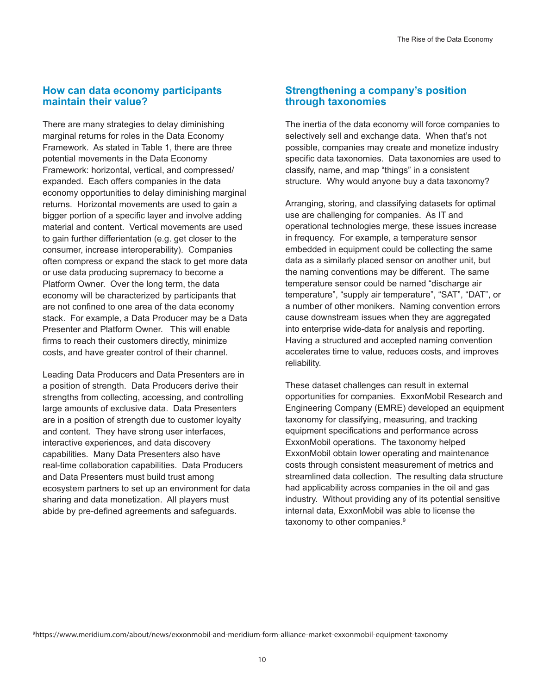# <span id="page-9-0"></span>**How can data economy participants maintain their value?**

There are many strategies to delay diminishing marginal returns for roles in the Data Economy Framework. As stated in Table 1, there are three potential movements in the Data Economy Framework: horizontal, vertical, and compressed/ expanded. Each offers companies in the data economy opportunities to delay diminishing marginal returns. Horizontal movements are used to gain a bigger portion of a specific layer and involve adding material and content. Vertical movements are used to gain further differientation (e.g. get closer to the consumer, increase interoperability). Companies often compress or expand the stack to get more data or use data producing supremacy to become a Platform Owner. Over the long term, the data economy will be characterized by participants that are not confined to one area of the data economy stack. For example, a Data Producer may be a Data Presenter and Platform Owner. This will enable firms to reach their customers directly, minimize costs, and have greater control of their channel.

Leading Data Producers and Data Presenters are in a position of strength. Data Producers derive their strengths from collecting, accessing, and controlling large amounts of exclusive data. Data Presenters are in a position of strength due to customer loyalty and content. They have strong user interfaces, interactive experiences, and data discovery capabilities. Many Data Presenters also have real-time collaboration capabilities. Data Producers and Data Presenters must build trust among ecosystem partners to set up an environment for data sharing and data monetization. All players must abide by pre-defined agreements and safeguards.

# **Strengthening a company's position through taxonomies**

The inertia of the data economy will force companies to selectively sell and exchange data. When that's not possible, companies may create and monetize industry specific data taxonomies. Data taxonomies are used to classify, name, and map "things" in a consistent structure. Why would anyone buy a data taxonomy?

Arranging, storing, and classifying datasets for optimal use are challenging for companies. As IT and operational technologies merge, these issues increase in frequency. For example, a temperature sensor embedded in equipment could be collecting the same data as a similarly placed sensor on another unit, but the naming conventions may be different. The same temperature sensor could be named "discharge air temperature", "supply air temperature", "SAT", "DAT", or a number of other monikers. Naming convention errors cause downstream issues when they are aggregated into enterprise wide-data for analysis and reporting. Having a structured and accepted naming convention accelerates time to value, reduces costs, and improves reliability.

These dataset challenges can result in external opportunities for companies. ExxonMobil Research and Engineering Company (EMRE) developed an equipment taxonomy for classifying, measuring, and tracking equipment specifications and performance across ExxonMobil operations. The taxonomy helped ExxonMobil obtain lower operating and maintenance costs through consistent measurement of metrics and streamlined data collection. The resulting data structure had applicability across companies in the oil and gas industry. Without providing any of its potential sensitive internal data, ExxonMobil was able to license the taxonomy to other companies.<sup>9</sup>

9 https://www.meridium.com/about/news/exxonmobil-and-meridium-form-alliance-market-exxonmobil-equipment-taxonomy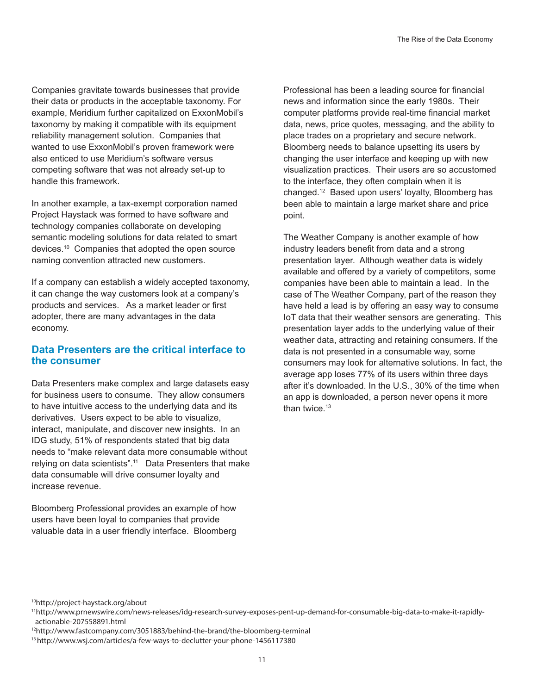<span id="page-10-0"></span>Companies gravitate towards businesses that provide their data or products in the acceptable taxonomy. For example, Meridium further capitalized on ExxonMobil's taxonomy by making it compatible with its equipment reliability management solution. Companies that wanted to use ExxonMobil's proven framework were also enticed to use Meridium's software versus competing software that was not already set-up to handle this framework.

In another example, a tax-exempt corporation named Project Haystack was formed to have software and technology companies collaborate on developing semantic modeling solutions for data related to smart devices.<sup>10</sup> Companies that adopted the open source naming convention attracted new customers.

If a company can establish a widely accepted taxonomy, it can change the way customers look at a company's products and services. As a market leader or first adopter, there are many advantages in the data economy.

# **Data Presenters are the critical interface to the consumer**

Data Presenters make complex and large datasets easy for business users to consume. They allow consumers to have intuitive access to the underlying data and its derivatives. Users expect to be able to visualize, interact, manipulate, and discover new insights. In an IDG study, 51% of respondents stated that big data needs to "make relevant data more consumable without relying on data scientists".<sup>11</sup> Data Presenters that make data consumable will drive consumer loyalty and increase revenue.

Bloomberg Professional provides an example of how users have been loyal to companies that provide valuable data in a user friendly interface. Bloomberg

Professional has been a leading source for financial news and information since the early 1980s. Their computer platforms provide real-time financial market data, news, price quotes, messaging, and the ability to place trades on a proprietary and secure network. Bloomberg needs to balance upsetting its users by changing the user interface and keeping up with new visualization practices. Their users are so accustomed to the interface, they often complain when it is changed.<sup>12</sup> Based upon users' loyalty, Bloomberg has been able to maintain a large market share and price point.

The Weather Company is another example of how industry leaders benefit from data and a strong presentation layer. Although weather data is widely available and offered by a variety of competitors, some companies have been able to maintain a lead. In the case of The Weather Company, part of the reason they have held a lead is by offering an easy way to consume IoT data that their weather sensors are generating. This presentation layer adds to the underlying value of their weather data, attracting and retaining consumers. If the data is not presented in a consumable way, some consumers may look for alternative solutions. In fact, the average app loses 77% of its users within three days after it's downloaded. In the U.S., 30% of the time when an app is downloaded, a person never opens it more than twice.<sup>13</sup>

<sup>10</sup>http://project-haystack.org/about

<sup>11</sup>http://www.prnewswire.com/news-releases/idg-research-survey-exposes-pent-up-demand-for-consumable-big-data-to-make-it-rapidlyactionable-207558891.html

<sup>12</sup>http://www.fastcompany.com/3051883/behind-the-brand/the-bloomberg-terminal

<sup>13</sup> http://www.wsj.com/articles/a-few-ways-to-declutter-your-phone-1456117380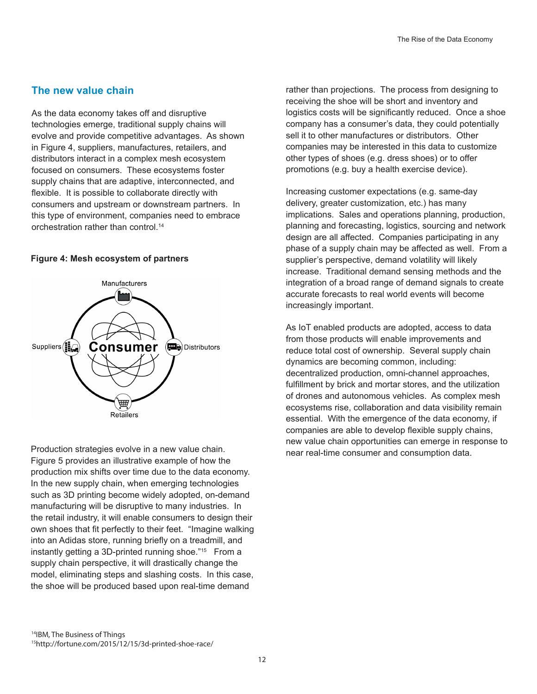# <span id="page-11-0"></span>**The new value chain**

As the data economy takes off and disruptive technologies emerge, traditional supply chains will evolve and provide competitive advantages. As shown in Figure 4, suppliers, manufactures, retailers, and distributors interact in a complex mesh ecosystem focused on consumers. These ecosystems foster supply chains that are adaptive, interconnected, and flexible. It is possible to collaborate directly with consumers and upstream or downstream partners. In this type of environment, companies need to embrace orchestration rather than control.<sup>14</sup>

#### **Figure 4: Mesh ecosystem of partners**



Production strategies evolve in a new value chain. Figure 5 provides an illustrative example of how the production mix shifts over time due to the data economy. In the new supply chain, when emerging technologies such as 3D printing become widely adopted, on-demand manufacturing will be disruptive to many industries. In the retail industry, it will enable consumers to design their own shoes that fit perfectly to their feet. "Imagine walking into an Adidas store, running briefly on a treadmill, and instantly getting a 3D-printed running shoe."15 From a supply chain perspective, it will drastically change the model, eliminating steps and slashing costs. In this case, the shoe will be produced based upon real-time demand

rather than projections. The process from designing to receiving the shoe will be short and inventory and logistics costs will be significantly reduced. Once a shoe company has a consumer's data, they could potentially sell it to other manufactures or distributors. Other companies may be interested in this data to customize other types of shoes (e.g. dress shoes) or to offer promotions (e.g. buy a health exercise device).

Increasing customer expectations (e.g. same-day delivery, greater customization, etc.) has many implications. Sales and operations planning, production, planning and forecasting, logistics, sourcing and network design are all affected. Companies participating in any phase of a supply chain may be affected as well. From a supplier's perspective, demand volatility will likely increase. Traditional demand sensing methods and the integration of a broad range of demand signals to create accurate forecasts to real world events will become increasingly important.

As IoT enabled products are adopted, access to data from those products will enable improvements and reduce total cost of ownership. Several supply chain dynamics are becoming common, including: decentralized production, omni-channel approaches, fulfillment by brick and mortar stores, and the utilization of drones and autonomous vehicles. As complex mesh ecosystems rise, collaboration and data visibility remain essential. With the emergence of the data economy, if companies are able to develop flexible supply chains, new value chain opportunities can emerge in response to near real-time consumer and consumption data.

<sup>14</sup>IBM, The Business of Things 15http://fortune.com/2015/12/15/3d-printed-shoe-race/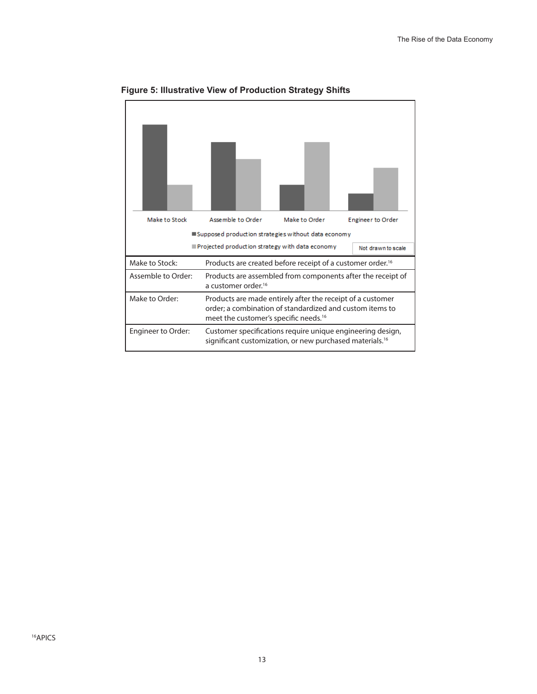

**Figure 5: Illustrative View of Production Strategy Shifts**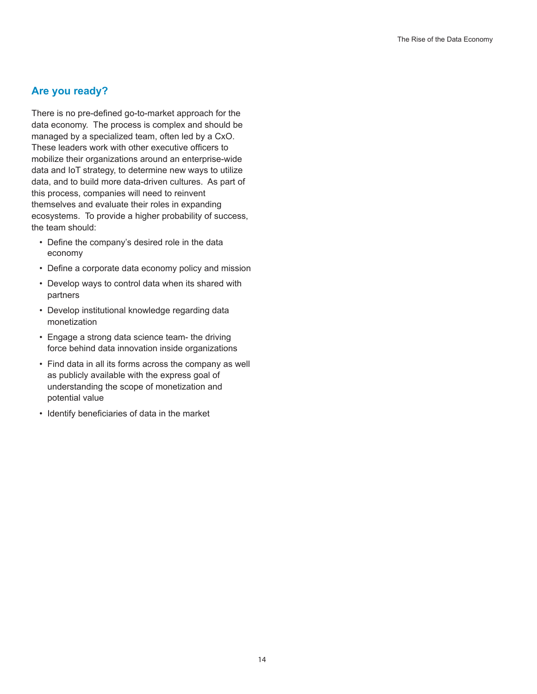# <span id="page-13-0"></span>**Are you ready?**

There is no pre-defined go-to-market approach for the data economy. The process is complex and should be managed by a specialized team, often led by a CxO. These leaders work with other executive officers to mobilize their organizations around an enterprise-wide data and IoT strategy, to determine new ways to utilize data, and to build more data-driven cultures. As part of this process, companies will need to reinvent themselves and evaluate their roles in expanding ecosystems. To provide a higher probability of success, the team should:

- Define the company's desired role in the data economy
- Define a corporate data economy policy and mission
- Develop ways to control data when its shared with partners
- Develop institutional knowledge regarding data monetization
- Engage a strong data science team- the driving force behind data innovation inside organizations
- Find data in all its forms across the company as well as publicly available with the express goal of understanding the scope of monetization and potential value
- Identify beneficiaries of data in the market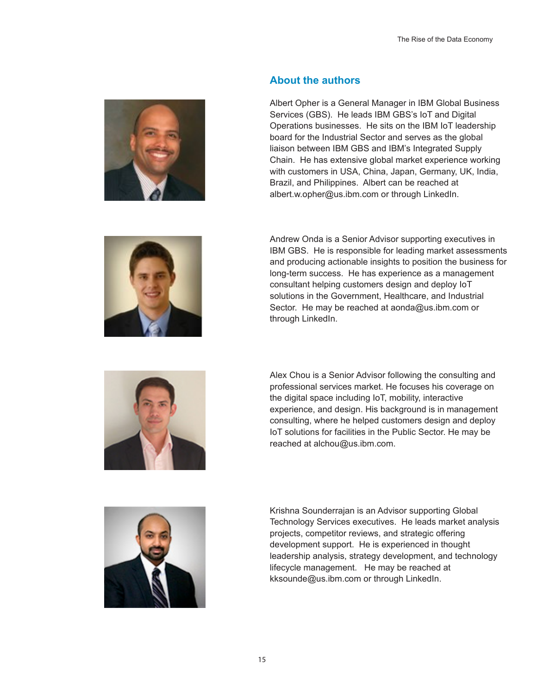<span id="page-14-0"></span>

# **About the authors**

Albert Opher is a General Manager in IBM Global Business Services (GBS). He leads IBM GBS's IoT and Digital Operations businesses. He sits on the IBM IoT leadership board for the Industrial Sector and serves as the global liaison between IBM GBS and IBM's Integrated Supply Chain. He has extensive global market experience working with customers in USA, China, Japan, Germany, UK, India, Brazil, and Philippines. Albert can be reached at albert.w.opher@us.ibm.com or through LinkedIn.



Andrew Onda is a Senior Advisor supporting executives in IBM GBS. He is responsible for leading market assessments and producing actionable insights to position the business for long-term success. He has experience as a management consultant helping customers design and deploy IoT solutions in the Government, Healthcare, and Industrial Sector. He may be reached at aonda@us.ibm.com or through LinkedIn.



Alex Chou is a Senior Advisor following the consulting and professional services market. He focuses his coverage on the digital space including IoT, mobility, interactive experience, and design. His background is in management consulting, where he helped customers design and deploy IoT solutions for facilities in the Public Sector. He may be reached at alchou@us.ibm.com.



Krishna Sounderrajan is an Advisor supporting Global Technology Services executives. He leads market analysis projects, competitor reviews, and strategic offering development support. He is experienced in thought leadership analysis, strategy development, and technology lifecycle management. He may be reached at kksounde@us.ibm.com or through LinkedIn.